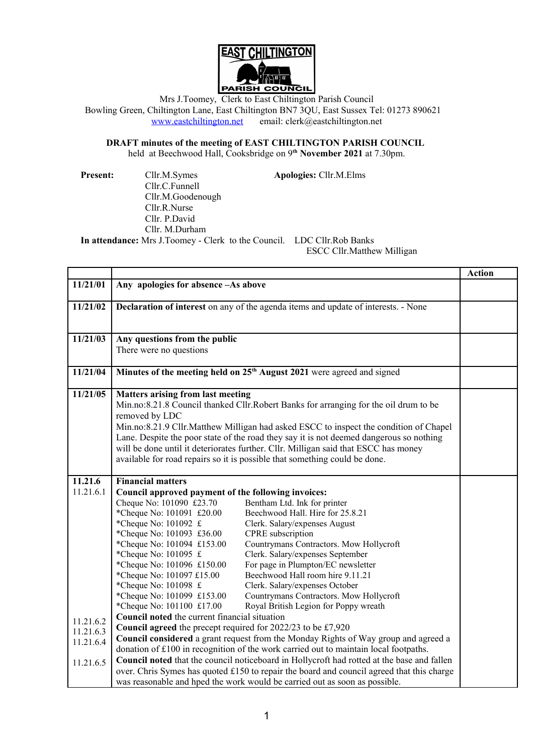

Mrs J.Toomey, Clerk to East Chiltington Parish Council Bowling Green, Chiltington Lane, East Chiltington BN7 3QU, East Sussex Tel: 01273 890621 [www.eastchiltington.net](http://www.eastchiltington.net/) email: clerk@eastchiltington.net

**DRAFT minutes of the meeting of EAST CHILTINGTON PARISH COUNCIL**

held at Beechwood Hall, Cooksbridge on 9**th November 2021** at 7.30pm.

Cllr.C.Funnell Cllr.M.Goodenough Cllr.R.Nurse Cllr. P.David Cllr. M.Durham

**Present:** Cllr.M.Symes **Apologies:** Cllr.M.Elms

**In attendance:** Mrs J.Toomey - Clerk to the Council. LDC Cllr.Rob Banks

ESCC Cllr.Matthew Milligan

|           |                                                                                                                                                                                                                                                                                                                                                                                                                                                                                                             |                                                                             | <b>Action</b> |
|-----------|-------------------------------------------------------------------------------------------------------------------------------------------------------------------------------------------------------------------------------------------------------------------------------------------------------------------------------------------------------------------------------------------------------------------------------------------------------------------------------------------------------------|-----------------------------------------------------------------------------|---------------|
| 11/21/01  | Any apologies for absence -As above                                                                                                                                                                                                                                                                                                                                                                                                                                                                         |                                                                             |               |
| 11/21/02  | <b>Declaration of interest</b> on any of the agenda items and update of interests. - None                                                                                                                                                                                                                                                                                                                                                                                                                   |                                                                             |               |
| 11/21/03  | Any questions from the public<br>There were no questions                                                                                                                                                                                                                                                                                                                                                                                                                                                    |                                                                             |               |
| 11/21/04  | Minutes of the meeting held on 25 <sup>th</sup> August 2021 were agreed and signed                                                                                                                                                                                                                                                                                                                                                                                                                          |                                                                             |               |
| 11/21/05  | <b>Matters arising from last meeting</b><br>Min.no:8.21.8 Council thanked Cllr.Robert Banks for arranging for the oil drum to be<br>removed by LDC<br>Min.no:8.21.9 Cllr.Matthew Milligan had asked ESCC to inspect the condition of Chapel<br>Lane. Despite the poor state of the road they say it is not deemed dangerous so nothing<br>will be done until it deteriorates further. Cllr. Milligan said that ESCC has money<br>available for road repairs so it is possible that something could be done. |                                                                             |               |
| 11.21.6   | <b>Financial matters</b>                                                                                                                                                                                                                                                                                                                                                                                                                                                                                    |                                                                             |               |
| 11.21.6.1 | Council approved payment of the following invoices:                                                                                                                                                                                                                                                                                                                                                                                                                                                         |                                                                             |               |
|           | Cheque No: 101090 £23.70                                                                                                                                                                                                                                                                                                                                                                                                                                                                                    | Bentham Ltd. Ink for printer                                                |               |
|           | *Cheque No: 101091 £20.00                                                                                                                                                                                                                                                                                                                                                                                                                                                                                   | Beechwood Hall. Hire for 25.8.21                                            |               |
|           | *Cheque No: 101092 £                                                                                                                                                                                                                                                                                                                                                                                                                                                                                        | Clerk. Salary/expenses August                                               |               |
|           | *Cheque No: 101093 £36.00                                                                                                                                                                                                                                                                                                                                                                                                                                                                                   | CPRE subscription                                                           |               |
|           | *Cheque No: 101094 £153.00<br>*Cheque No: 101095 £                                                                                                                                                                                                                                                                                                                                                                                                                                                          | Countrymans Contractors. Mow Hollycroft<br>Clerk. Salary/expenses September |               |
|           | *Cheque No: 101096 £150.00                                                                                                                                                                                                                                                                                                                                                                                                                                                                                  | For page in Plumpton/EC newsletter                                          |               |
|           | *Cheque No: 101097 £15.00                                                                                                                                                                                                                                                                                                                                                                                                                                                                                   | Beechwood Hall room hire 9.11.21                                            |               |
|           | *Cheque No: 101098 £                                                                                                                                                                                                                                                                                                                                                                                                                                                                                        | Clerk. Salary/expenses October                                              |               |
|           | *Cheque No: 101099 £153.00                                                                                                                                                                                                                                                                                                                                                                                                                                                                                  | Countrymans Contractors. Mow Hollycroft                                     |               |
|           | *Cheque No: 101100 £17.00                                                                                                                                                                                                                                                                                                                                                                                                                                                                                   | Royal British Legion for Poppy wreath                                       |               |
| 11.21.6.2 | Council noted the current financial situation                                                                                                                                                                                                                                                                                                                                                                                                                                                               |                                                                             |               |
| 11.21.6.3 | Council agreed the precept required for 2022/23 to be £7,920                                                                                                                                                                                                                                                                                                                                                                                                                                                |                                                                             |               |
| 11.21.6.4 | Council considered a grant request from the Monday Rights of Way group and agreed a<br>donation of £100 in recognition of the work carried out to maintain local footpaths.                                                                                                                                                                                                                                                                                                                                 |                                                                             |               |
|           |                                                                                                                                                                                                                                                                                                                                                                                                                                                                                                             |                                                                             |               |
| 11.21.6.5 | Council noted that the council noticeboard in Hollycroft had rotted at the base and fallen<br>over. Chris Symes has quoted £150 to repair the board and council agreed that this charge                                                                                                                                                                                                                                                                                                                     |                                                                             |               |
|           | was reasonable and hped the work would be carried out as soon as possible.                                                                                                                                                                                                                                                                                                                                                                                                                                  |                                                                             |               |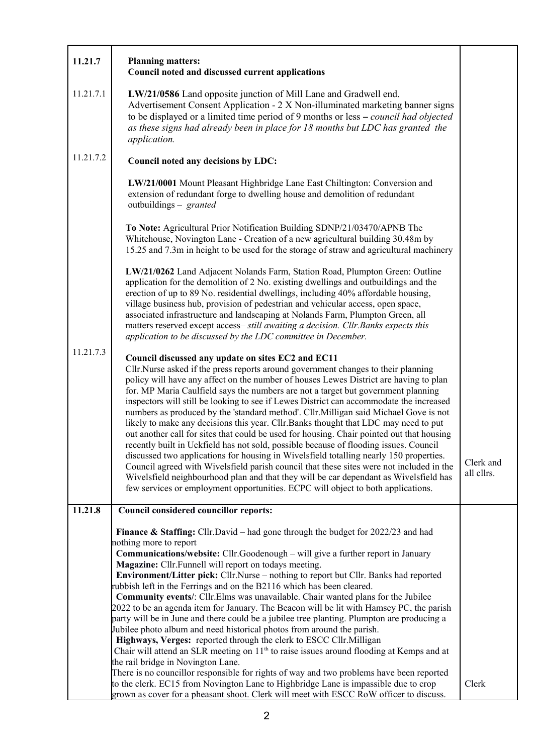| 11.21.7   | <b>Planning matters:</b><br>Council noted and discussed current applications                                                                                                                                                                                                                                                                                                                                                                                                                                                                                                                                                                                                                                                                                                                                                                                                                                                                                                                                                                                                                                                                                                                                                                                                                                  |                         |  |  |
|-----------|---------------------------------------------------------------------------------------------------------------------------------------------------------------------------------------------------------------------------------------------------------------------------------------------------------------------------------------------------------------------------------------------------------------------------------------------------------------------------------------------------------------------------------------------------------------------------------------------------------------------------------------------------------------------------------------------------------------------------------------------------------------------------------------------------------------------------------------------------------------------------------------------------------------------------------------------------------------------------------------------------------------------------------------------------------------------------------------------------------------------------------------------------------------------------------------------------------------------------------------------------------------------------------------------------------------|-------------------------|--|--|
| 11.21.7.1 | LW/21/0586 Land opposite junction of Mill Lane and Gradwell end.<br>Advertisement Consent Application - 2 X Non-illuminated marketing banner signs<br>to be displayed or a limited time period of 9 months or less – council had objected<br>as these signs had already been in place for 18 months but LDC has granted the<br>application.                                                                                                                                                                                                                                                                                                                                                                                                                                                                                                                                                                                                                                                                                                                                                                                                                                                                                                                                                                   |                         |  |  |
| 11.21.7.2 | Council noted any decisions by LDC:                                                                                                                                                                                                                                                                                                                                                                                                                                                                                                                                                                                                                                                                                                                                                                                                                                                                                                                                                                                                                                                                                                                                                                                                                                                                           |                         |  |  |
|           | LW/21/0001 Mount Pleasant Highbridge Lane East Chiltington: Conversion and<br>extension of redundant forge to dwelling house and demolition of redundant<br>outbuildings – granted                                                                                                                                                                                                                                                                                                                                                                                                                                                                                                                                                                                                                                                                                                                                                                                                                                                                                                                                                                                                                                                                                                                            |                         |  |  |
| 11.21.7.3 | To Note: Agricultural Prior Notification Building SDNP/21/03470/APNB The<br>Whitehouse, Novington Lane - Creation of a new agricultural building 30.48m by<br>15.25 and 7.3m in height to be used for the storage of straw and agricultural machinery                                                                                                                                                                                                                                                                                                                                                                                                                                                                                                                                                                                                                                                                                                                                                                                                                                                                                                                                                                                                                                                         |                         |  |  |
|           | LW/21/0262 Land Adjacent Nolands Farm, Station Road, Plumpton Green: Outline<br>application for the demolition of 2 No. existing dwellings and outbuildings and the<br>erection of up to 89 No. residential dwellings, including 40% affordable housing,<br>village business hub, provision of pedestrian and vehicular access, open space,<br>associated infrastructure and landscaping at Nolands Farm, Plumpton Green, all<br>matters reserved except access- still awaiting a decision. Cllr. Banks expects this<br>application to be discussed by the LDC committee in December.                                                                                                                                                                                                                                                                                                                                                                                                                                                                                                                                                                                                                                                                                                                         |                         |  |  |
|           | Council discussed any update on sites EC2 and EC11<br>Cllr.Nurse asked if the press reports around government changes to their planning<br>policy will have any affect on the number of houses Lewes District are having to plan<br>for. MP Maria Caulfield says the numbers are not a target but government planning<br>inspectors will still be looking to see if Lewes District can accommodate the increased<br>numbers as produced by the 'standard method'. Cllr.Milligan said Michael Gove is not<br>likely to make any decisions this year. Cllr. Banks thought that LDC may need to put<br>out another call for sites that could be used for housing. Chair pointed out that housing<br>recently built in Uckfield has not sold, possible because of flooding issues. Council<br>discussed two applications for housing in Wivelsfield totalling nearly 150 properties.<br>Council agreed with Wivelsfield parish council that these sites were not included in the<br>Wivelsfield neighbourhood plan and that they will be car dependant as Wivelsfield has<br>few services or employment opportunities. ECPC will object to both applications.                                                                                                                                                     | Clerk and<br>all cllrs. |  |  |
| 11.21.8   | Council considered councillor reports:                                                                                                                                                                                                                                                                                                                                                                                                                                                                                                                                                                                                                                                                                                                                                                                                                                                                                                                                                                                                                                                                                                                                                                                                                                                                        |                         |  |  |
|           | <b>Finance &amp; Staffing:</b> Cllr.David – had gone through the budget for $2022/23$ and had<br>nothing more to report<br>Communications/website: Cllr.Goodenough - will give a further report in January<br>Magazine: Cllr.Funnell will report on todays meeting.<br><b>Environment/Litter pick:</b> Cllr.Nurse – nothing to report but Cllr. Banks had reported<br>rubbish left in the Ferrings and on the B2116 which has been cleared.<br><b>Community events/:</b> Cllr. Elms was unavailable. Chair wanted plans for the Jubilee<br>2022 to be an agenda item for January. The Beacon will be lit with Hamsey PC, the parish<br>party will be in June and there could be a jubilee tree planting. Plumpton are producing a<br>Jubilee photo album and need historical photos from around the parish.<br>Highways, Verges: reported through the clerk to ESCC Cllr. Milligan<br>Chair will attend an SLR meeting on 11 <sup>th</sup> to raise issues around flooding at Kemps and at<br>the rail bridge in Novington Lane.<br>There is no councillor responsible for rights of way and two problems have been reported<br>to the clerk. EC15 from Novington Lane to Highbridge Lane is impassible due to crop<br>grown as cover for a pheasant shoot. Clerk will meet with ESCC RoW officer to discuss. | Clerk                   |  |  |